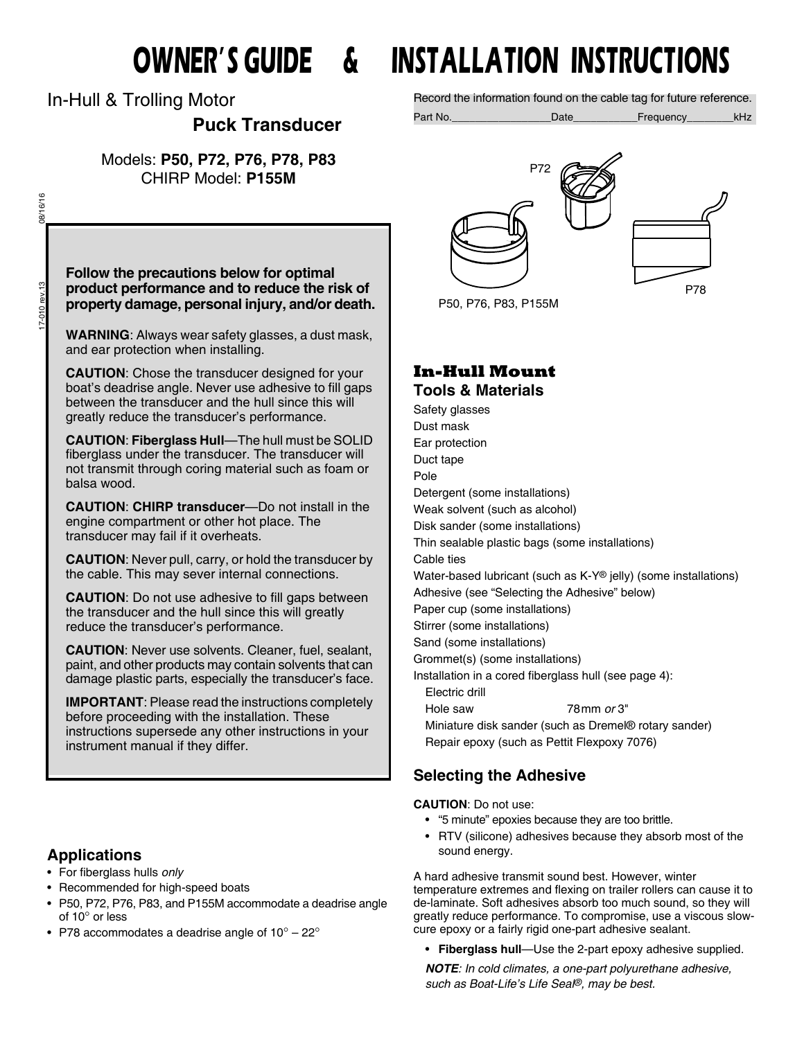# **OWNER'S GUIDE & INSTALLATION INSTRUCTIONS**

In-Hull & Trolling Motor

# **Puck Transducer**

Models: **P50, P72, P76, P78, P83** CHIRP Model: **P155M**

08/16/16 17-010 rev.13 08/16/16 17-010 rev.13

**Follow the precautions below for optimal product performance and to reduce the risk of property damage, personal injury, and/or death.**

**WARNING**: Always wear safety glasses, a dust mask, and ear protection when installing.

**CAUTION**: Chose the transducer designed for your boat's deadrise angle. Never use adhesive to fill gaps between the transducer and the hull since this will greatly reduce the transducer's performance.

**CAUTION**: **Fiberglass Hull**—The hull must be SOLID fiberglass under the transducer. The transducer will not transmit through coring material such as foam or balsa wood.

**CAUTION**: **CHIRP transducer**—Do not install in the engine compartment or other hot place. The transducer may fail if it overheats.

**CAUTION**: Never pull, carry, or hold the transducer by the cable. This may sever internal connections.

**CAUTION**: Do not use adhesive to fill gaps between the transducer and the hull since this will greatly reduce the transducer's performance.

**CAUTION**: Never use solvents. Cleaner, fuel, sealant, paint, and other products may contain solvents that can damage plastic parts, especially the transducer's face.

**IMPORTANT**: Please read the instructions completely before proceeding with the installation. These instructions supersede any other instructions in your instrument manual if they differ.

# **Applications**

- For fiberglass hulls *only*
- Recommended for high-speed boats
- P50, P72, P76, P83, and P155M accommodate a deadrise angle of  $10^{\circ}$  or less
- P78 accommodates a deadrise angle of  $10^{\circ}$  22 $^{\circ}$

Record the information found on the cable tag for future reference.

Part No.\_\_\_\_\_\_\_\_\_\_\_\_\_\_\_\_\_Date\_\_\_\_\_\_\_\_\_\_\_Frequency\_\_\_\_\_\_\_\_kHz



P50, P76, P83, P155M

# **In-Hull Mount Tools & Materials**

Safety glasses Dust mask Ear protection Duct tape Pole Detergent (some installations) Weak solvent (such as alcohol) Disk sander (some installations) Thin sealable plastic bags (some installations) Cable ties Water-based lubricant (such as K-Y® jelly) (some installations) Adhesive (see "Selecting the Adhesive" below) Paper cup (some installations) Stirrer (some installations) Sand (some installations) Grommet(s) (some installations) Installation in a cored fiberglass hull (see page 4): Electric drill Hole saw 78mm *or* 3" Miniature disk sander (such as Dremel® rotary sander)

# Repair epoxy (such as Pettit Flexpoxy 7076)

# **Selecting the Adhesive**

**CAUTION**: Do not use:

- "5 minute" epoxies because they are too brittle.
- RTV (silicone) adhesives because they absorb most of the sound energy.

A hard adhesive transmit sound best. However, winter temperature extremes and flexing on trailer rollers can cause it to de-laminate. Soft adhesives absorb too much sound, so they will greatly reduce performance. To compromise, use a viscous slowcure epoxy or a fairly rigid one-part adhesive sealant.

• **Fiberglass hull**—Use the 2-part epoxy adhesive supplied.

*NOTE: In cold climates, a one-part polyurethane adhesive, such as Boat-Life's Life Seal®, may be best.*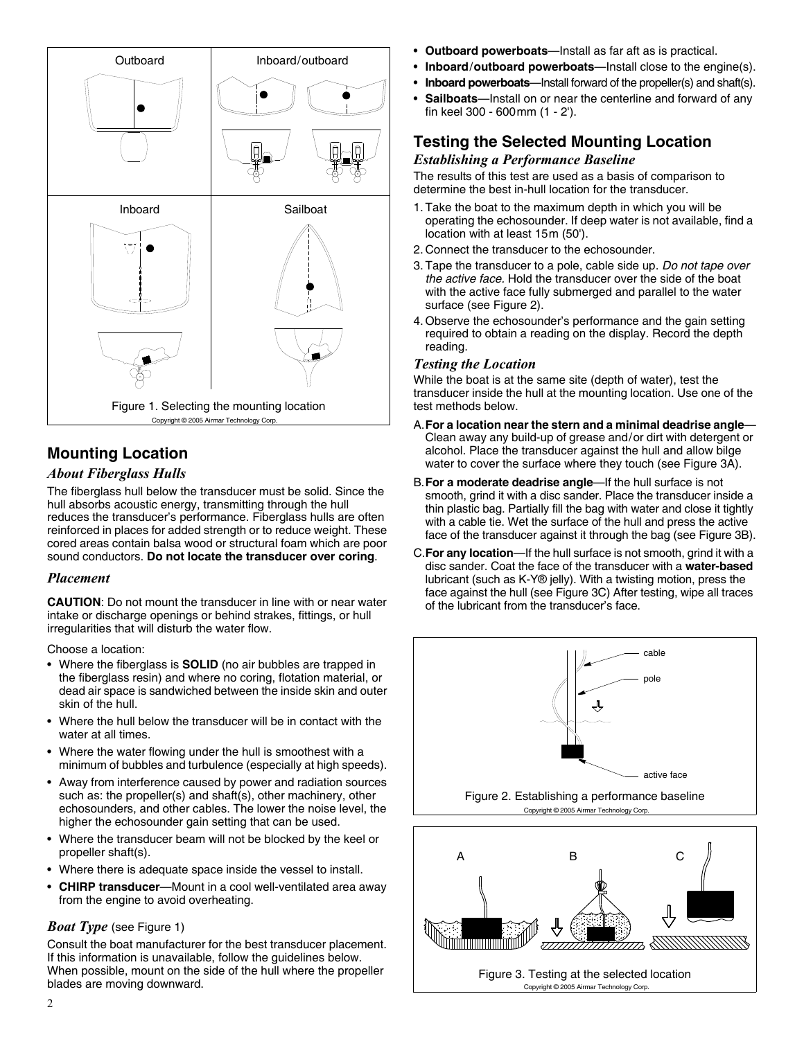

# **Mounting Location**

#### *About Fiberglass Hulls*

The fiberglass hull below the transducer must be solid. Since the hull absorbs acoustic energy, transmitting through the hull reduces the transducer's performance. Fiberglass hulls are often reinforced in places for added strength or to reduce weight. These cored areas contain balsa wood or structural foam which are poor sound conductors. **Do not locate the transducer over coring**.

#### *Placement*

**CAUTION**: Do not mount the transducer in line with or near water intake or discharge openings or behind strakes, fittings, or hull irregularities that will disturb the water flow.

Choose a location:

- Where the fiberglass is **SOLID** (no air bubbles are trapped in the fiberglass resin) and where no coring, flotation material, or dead air space is sandwiched between the inside skin and outer skin of the hull.
- Where the hull below the transducer will be in contact with the water at all times.
- Where the water flowing under the hull is smoothest with a minimum of bubbles and turbulence (especially at high speeds).
- Away from interference caused by power and radiation sources such as: the propeller(s) and shaft(s), other machinery, other echosounders, and other cables. The lower the noise level, the higher the echosounder gain setting that can be used.
- Where the transducer beam will not be blocked by the keel or propeller shaft(s).
- Where there is adequate space inside the vessel to install.
- **CHIRP transducer**—Mount in a cool well-ventilated area away from the engine to avoid overheating.

#### *Boat Type* (see Figure 1)

Consult the boat manufacturer for the best transducer placement. If this information is unavailable, follow the guidelines below. When possible, mount on the side of the hull where the propeller blades are moving downward.

- **Outboard powerboats**—Install as far aft as is practical.
- **Inboard**/**outboard powerboats**—Install close to the engine(s).
- **Inboard powerboats**—Install forward of the propeller(s) and shaft(s).
- **Sailboats**—Install on or near the centerline and forward of any fin keel 300 - 600mm (1 - 2').

# **Testing the Selected Mounting Location**

#### *Establishing a Performance Baseline*

The results of this test are used as a basis of comparison to determine the best in-hull location for the transducer.

- 1. Take the boat to the maximum depth in which you will be operating the echosounder. If deep water is not available, find a location with at least 15m (50').
- 2. Connect the transducer to the echosounder.
- 3. Tape the transducer to a pole, cable side up. *Do not tape over the active face.* Hold the transducer over the side of the boat with the active face fully submerged and parallel to the water surface (see Figure 2).
- 4. Observe the echosounder's performance and the gain setting required to obtain a reading on the display. Record the depth reading.

#### *Testing the Location*

While the boat is at the same site (depth of water), test the transducer inside the hull at the mounting location. Use one of the test methods below.

- A.**For a location near the stern and a minimal deadrise angle** Clean away any build-up of grease and/or dirt with detergent or alcohol. Place the transducer against the hull and allow bilge water to cover the surface where they touch (see Figure 3A).
- B.**For a moderate deadrise angle**—If the hull surface is not smooth, grind it with a disc sander. Place the transducer inside a thin plastic bag. Partially fill the bag with water and close it tightly with a cable tie. Wet the surface of the hull and press the active face of the transducer against it through the bag (see Figure 3B).
- C.**For any location**—If the hull surface is not smooth, grind it with a disc sander. Coat the face of the transducer with a **water-based** lubricant (such as K-Y® jelly). With a twisting motion, press the face against the hull (see Figure 3C) After testing, wipe all traces of the lubricant from the transducer's face.



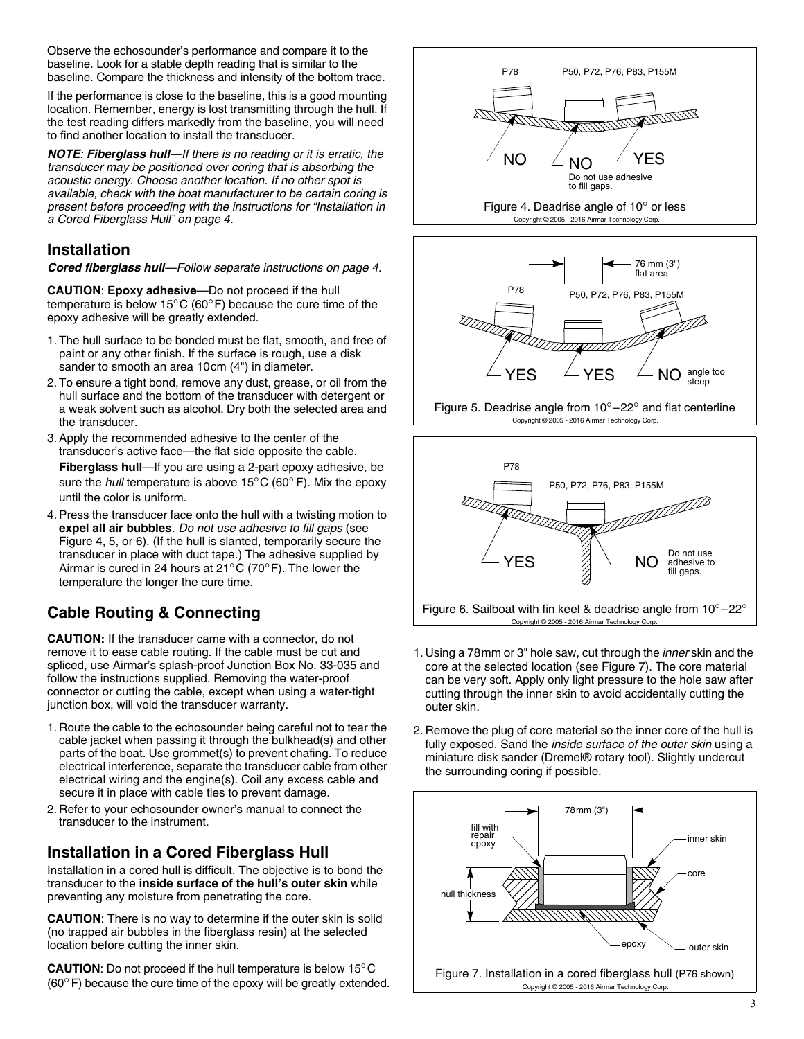Observe the echosounder's performance and compare it to the baseline. Look for a stable depth reading that is similar to the baseline. Compare the thickness and intensity of the bottom trace.

If the performance is close to the baseline, this is a good mounting location. Remember, energy is lost transmitting through the hull. If the test reading differs markedly from the baseline, you will need to find another location to install the transducer.

*NOTE: Fiberglass hull—If there is no reading or it is erratic, the transducer may be positioned over coring that is absorbing the acoustic energy. Choose another location. If no other spot is available, check with the boat manufacturer to be certain coring is present before proceeding with the instructions for "Installation in a Cored Fiberglass Hull" on page 4.*

#### **Installation**

*Cored fiberglass hull—Follow separate instructions on page 4.*

**CAUTION**: **Epoxy adhesive**—Do not proceed if the hull temperature is below  $15^{\circ}$ C (60°F) because the cure time of the epoxy adhesive will be greatly extended.

- 1. The hull surface to be bonded must be flat, smooth, and free of paint or any other finish. If the surface is rough, use a disk sander to smooth an area 10cm (4") in diameter.
- 2. To ensure a tight bond, remove any dust, grease, or oil from the hull surface and the bottom of the transducer with detergent or a weak solvent such as alcohol. Dry both the selected area and the transducer.
- 3. Apply the recommended adhesive to the center of the transducer's active face—the flat side opposite the cable.

**Fiberglass hull—If** you are using a 2-part epoxy adhesive, be sure the *hull* temperature is above 15°C (60°F). Mix the epoxy until the color is uniform.

4. Press the transducer face onto the hull with a twisting motion to **expel all air bubbles***. Do not use adhesive to fill gaps* (see Figure 4, 5, or 6). (If the hull is slanted, temporarily secure the transducer in place with duct tape.) The adhesive supplied by Airmar is cured in 24 hours at  $21^{\circ}$ C (70°F). The lower the temperature the longer the cure time.

# **Cable Routing & Connecting**

**CAUTION:** If the transducer came with a connector, do not remove it to ease cable routing. If the cable must be cut and spliced, use Airmar's splash-proof Junction Box No. 33-035 and follow the instructions supplied. Removing the water-proof connector or cutting the cable, except when using a water-tight junction box, will void the transducer warranty.

- 1. Route the cable to the echosounder being careful not to tear the cable jacket when passing it through the bulkhead(s) and other parts of the boat. Use grommet(s) to prevent chafing. To reduce electrical interference, separate the transducer cable from other electrical wiring and the engine(s). Coil any excess cable and secure it in place with cable ties to prevent damage.
- 2. Refer to your echosounder owner's manual to connect the transducer to the instrument.

# **Installation in a Cored Fiberglass Hull**

Installation in a cored hull is difficult. The objective is to bond the transducer to the **inside surface of the hull's outer skin** while preventing any moisture from penetrating the core.

**CAUTION**: There is no way to determine if the outer skin is solid (no trapped air bubbles in the fiberglass resin) at the selected location before cutting the inner skin.

**CAUTION:** Do not proceed if the hull temperature is below  $15^{\circ}$ C  $(60^{\circ}$  F) because the cure time of the epoxy will be greatly extended.









- 1. Using a 78mm or 3" hole saw, cut through the *inner* skin and the core at the selected location (see Figure 7). The core material can be very soft. Apply only light pressure to the hole saw after cutting through the inner skin to avoid accidentally cutting the outer skin.
- 2. Remove the plug of core material so the inner core of the hull is fully exposed. Sand the *inside surface of the outer skin* using a miniature disk sander (Dremel® rotary tool). Slightly undercut the surrounding coring if possible.